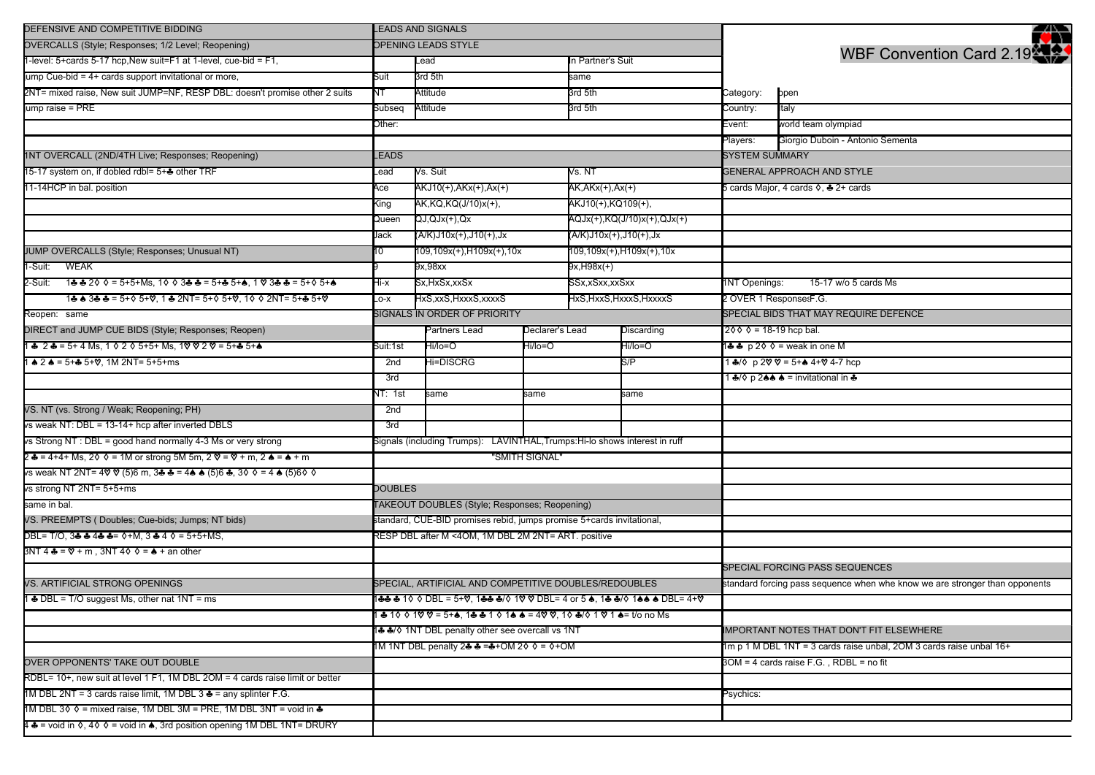| DEFENSIVE AND COMPETITIVE BIDDING                                                                                                    | LEADS AND SIGNALS                                                  |                                                                                |                          |                                                       |                                       |                                                                     | <b>AN</b>                                                                   |  |
|--------------------------------------------------------------------------------------------------------------------------------------|--------------------------------------------------------------------|--------------------------------------------------------------------------------|--------------------------|-------------------------------------------------------|---------------------------------------|---------------------------------------------------------------------|-----------------------------------------------------------------------------|--|
| OVERCALLS (Style; Responses; 1/2 Level; Reopening)                                                                                   | OPENING LEADS STYLE                                                |                                                                                |                          |                                                       |                                       |                                                                     |                                                                             |  |
| 1-level: 5+cards 5-17 hcp, New suit=F1 at 1-level, cue-bid = F1,                                                                     |                                                                    | Lead                                                                           |                          | In Partner's Suit                                     |                                       |                                                                     | WBF Convention Card 2.19                                                    |  |
| ump Cue-bid = 4+ cards support invitational or more,                                                                                 | Suit                                                               | 3rd 5th                                                                        |                          | same                                                  |                                       |                                                                     |                                                                             |  |
| 2NT= mixed raise, New suit JUMP=NF, RESP DBL: doesn't promise other 2 suits                                                          | NT                                                                 | Attitude                                                                       |                          | 3rd 5th                                               |                                       | Category:                                                           | open                                                                        |  |
| jump raise = PRE                                                                                                                     | Subseq<br>Attitude<br>3rd 5th                                      |                                                                                |                          | Country:                                              | Italy                                 |                                                                     |                                                                             |  |
|                                                                                                                                      | Other:                                                             |                                                                                |                          |                                                       |                                       | Event:                                                              | world team olympiad                                                         |  |
|                                                                                                                                      |                                                                    |                                                                                |                          |                                                       |                                       | Players:                                                            | Giorgio Duboin - Antonio Sementa                                            |  |
| 1NT OVERCALL (2ND/4TH Live; Responses; Reopening)                                                                                    | LEADS                                                              |                                                                                |                          |                                                       |                                       | <b>SYSTEM SUMMARY</b>                                               |                                                                             |  |
| 15-17 system on, if dobled rdbl= 5+ other TRF                                                                                        | -ead                                                               | Vs. NT<br>Vs. Suit                                                             |                          |                                                       |                                       |                                                                     | <b>GENERAL APPROACH AND STYLE</b>                                           |  |
| 11-14HCP in bal. position<br>Асе                                                                                                     |                                                                    | AKJ10(+),AKx(+),Ax(+)                                                          | AK,AKx(+),Ax(+)          |                                                       |                                       | 5 cards Major, 4 cards ♦, ♣ 2+ cards                                |                                                                             |  |
|                                                                                                                                      | King                                                               | AK,KQ,KQ(J/10)x(+),                                                            |                          | AKJ10(+),KQ109(+),                                    |                                       |                                                                     |                                                                             |  |
|                                                                                                                                      | Queen                                                              | QJ,QJx(+),Qx                                                                   |                          | AQJx(+),KQ(J/10)x(+),QJx(+)<br>(A/K)J10x(+),J10(+),Jx |                                       |                                                                     |                                                                             |  |
|                                                                                                                                      | Jack                                                               | (A/K)J10x(+),J10(+),Jx                                                         |                          |                                                       |                                       |                                                                     |                                                                             |  |
| JUMP OVERCALLS (Style; Responses; Unusual NT)                                                                                        | 10                                                                 | 109,109x(+),H109x(+),10x                                                       | 109,109x(+),H109x(+),10x |                                                       |                                       |                                                                     |                                                                             |  |
| 1-Suit: WEAK                                                                                                                         |                                                                    | 9x,98xx                                                                        |                          | 9x,H98x(+)                                            |                                       |                                                                     |                                                                             |  |
| 2-Suit: 1♣♣2◊◊= 5+5+Ms, 1◊◊З♣♣= 5+♣ 5+♠, 1 ♡ 3♣♣= 5+◊ 5+♠                                                                            | Hi-x                                                               | Sx,HxSx,xxSx                                                                   | SSx,xSxx,xxSxx           |                                                       |                                       | 1NT Openings:<br>15-17 w/o 5 cards Ms                               |                                                                             |  |
| 1 & 8 3 & & = 5+ $\lozenge$ 5+ $\lozenge$ , 1 & 2NT = 5+ $\lozenge$ 5+ $\lozenge$ , 1 $\lozenge$ $\lozenge$ 2NT = 5+ & 5+ $\lozenge$ | $_{\text{LO-X}}$                                                   | HxS,xxS, HxxxS, xxxxS                                                          | HxS, HxxS, HxxxS, HxxxxS |                                                       |                                       |                                                                     | 2 OVER 1 ResponsesF.G.                                                      |  |
| Reopen: same                                                                                                                         |                                                                    | SIGNALS IN ORDER OF PRIORITY                                                   |                          |                                                       | SPECIAL BIDS THAT MAY REQUIRE DEFENCE |                                                                     |                                                                             |  |
| DIRECT and JUMP CUE BIDS (Style; Responses; Reopen)                                                                                  |                                                                    | Partners Lead                                                                  | Declarer's Lead          | Discarding                                            |                                       | $200 = 18-19$ hcp bal.                                              |                                                                             |  |
| 1 + 2 + = 5+ 4 Ms. 1 0 2 0 5+5+ Ms. 1 0 0 2 0 = 5++ 5++                                                                              | Suit:1st                                                           | Hi/lo=O                                                                        | Hi/lo=O                  | Hi/lo=O                                               |                                       |                                                                     | 1♣ ♣ p 2◊ ◊ = weak in one M                                                 |  |
| $1 \cdot 2 \cdot 4 = 5 + 2 \cdot 5 + 8$ . 1M 2NT= $5 + 5 + ms$<br>2nd                                                                |                                                                    | Hi=DISCRG                                                                      |                          | S/P                                                   |                                       |                                                                     | 1 ♣/♦ p 2♡ ♡ = 5+♠ 4+♡ 4-7 hcp                                              |  |
|                                                                                                                                      | 3rd                                                                |                                                                                |                          |                                                       |                                       |                                                                     | 1 ♣/� p 2♠♠ ♠ = invitational in ♣                                           |  |
|                                                                                                                                      | NT: 1st                                                            | same                                                                           | same                     |                                                       | same                                  |                                                                     |                                                                             |  |
| VS. NT (vs. Strong / Weak; Reopening; PH)                                                                                            | 2 <sub>nd</sub>                                                    |                                                                                |                          |                                                       |                                       |                                                                     |                                                                             |  |
| vs weak NT: DBL = 13-14+ hcp after inverted DBLS                                                                                     | 3rd                                                                |                                                                                |                          |                                                       |                                       |                                                                     |                                                                             |  |
| vs Strong NT : DBL = good hand normally 4-3 Ms or very strong                                                                        |                                                                    | LAVINTHAL, Trumps: Hi-lo shows interest in ruff<br>Signals (including Trumps): |                          |                                                       |                                       |                                                                     |                                                                             |  |
| 2 ♣ = 4+4+ Ms, 2◊ ◊ = 1M or strong 5M 5m, 2 ♡ = ♡ + m, 2 ♠ = ♠ + m                                                                   |                                                                    | "SMITH SIGNAL"                                                                 |                          |                                                       |                                       |                                                                     |                                                                             |  |
| vs weak NT 2NT= 4♡ ♡ (5)6 m, 3♣ ♣ = 4♠ ♠ (5)6 ♣, 3◊ ◊ = 4 ♠ (5)6◊ ◊                                                                  |                                                                    |                                                                                |                          |                                                       |                                       |                                                                     |                                                                             |  |
| vs strong NT 2NT= 5+5+ms                                                                                                             | <b>DOUBLES</b>                                                     |                                                                                |                          |                                                       |                                       |                                                                     |                                                                             |  |
| same in bal.                                                                                                                         |                                                                    | TAKEOUT DOUBLES (Style; Responses; Reopening)                                  |                          |                                                       |                                       |                                                                     |                                                                             |  |
| VS. PREEMPTS (Doubles; Cue-bids; Jumps; NT bids)                                                                                     |                                                                    | standard, CUE-BID promises rebid, jumps promise 5+cards invitational,          |                          |                                                       |                                       |                                                                     |                                                                             |  |
| $DBL = T/O$ , 3 ÷ 4 4 ÷ 4 = 0 + M, 3 ÷ 4 0 = 5 + 5 + MS,                                                                             |                                                                    | RESP DBL after M <4OM, 1M DBL 2M 2NT= ART. positive                            |                          |                                                       |                                       |                                                                     |                                                                             |  |
| $3NT 4 = 8 = 8 + m$ , $3NT 40 = 1 + 3$ an other                                                                                      |                                                                    |                                                                                |                          |                                                       |                                       |                                                                     |                                                                             |  |
|                                                                                                                                      |                                                                    |                                                                                |                          |                                                       |                                       |                                                                     | SPECIAL FORCING PASS SEQUENCES                                              |  |
| VS. ARTIFICIAL STRONG OPENINGS                                                                                                       | SPECIAL, ARTIFICIAL AND COMPETITIVE DOUBLES/REDOUBLES              |                                                                                |                          |                                                       |                                       |                                                                     | standard forcing pass sequence when whe know we are stronger than opponents |  |
| 1 ♣ DBL = T/O suggest Ms, other nat 1NT = ms<br>1&& & 10 0 DBL = 5+V, 1&& &/0 1V V DBL= 4 or 5 &, 1& &/0 1&& & DBL= 4+V              |                                                                    |                                                                                |                          |                                                       |                                       |                                                                     |                                                                             |  |
|                                                                                                                                      | ♣ 10 0 10 0 = 5+♠, 1♣ ♣ 1 0 1♠ ♠ = 40 0, 10 ♣/0 1 0 1 ♠= t/o no Ms |                                                                                |                          |                                                       |                                       |                                                                     |                                                                             |  |
|                                                                                                                                      | 1♣ ♣/♦ 1NT DBL penalty other see overcall vs 1NT                   |                                                                                |                          |                                                       |                                       |                                                                     | IMPORTANT NOTES THAT DON'T FIT ELSEWHERE                                    |  |
|                                                                                                                                      | 1M 1NT DBL penalty 2♣ ♣ =♣+OM 2♦ ♦ = ♦+OM                          |                                                                                |                          |                                                       |                                       | 1m p 1 M DBL 1NT = 3 cards raise unbal, 2OM 3 cards raise unbal 16+ |                                                                             |  |
| OVER OPPONENTS' TAKE OUT DOUBLE                                                                                                      |                                                                    |                                                                                |                          |                                                       |                                       |                                                                     | 3OM = 4 cards raise F.G., RDBL = no fit                                     |  |
| RDBL= 10+, new suit at level 1 F1, 1M DBL 2OM = 4 cards raise limit or better                                                        |                                                                    |                                                                                |                          |                                                       |                                       |                                                                     |                                                                             |  |
| 1M DBL 2NT = 3 cards raise limit, 1M DBL 3 ♣ = any splinter F.G.                                                                     |                                                                    |                                                                                |                          |                                                       |                                       | Psychics:                                                           |                                                                             |  |
| 1M DBL 3 $\lozenge \lozenge$ = mixed raise, 1M DBL 3M = PRE, 1M DBL 3NT = void in $\clubsuit$                                        |                                                                    |                                                                                |                          |                                                       |                                       |                                                                     |                                                                             |  |
| 4 ♣ = void in 0, 40 0 = void in ♦, 3rd position opening 1M DBL 1NT= DRURY                                                            |                                                                    |                                                                                |                          |                                                       |                                       |                                                                     |                                                                             |  |